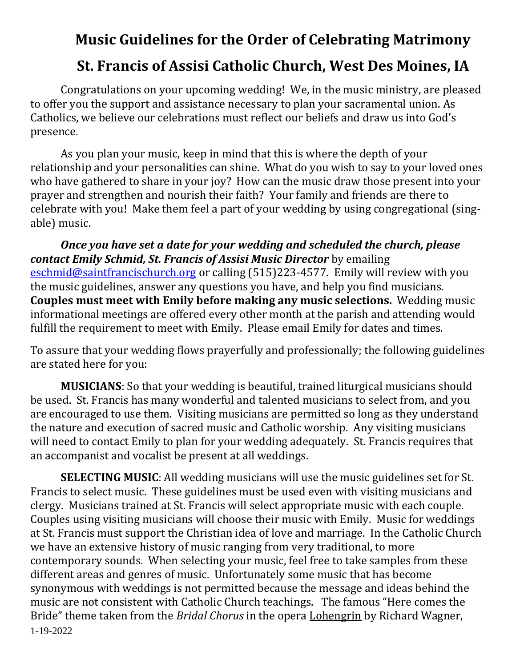# **Music Guidelines for the Order of Celebrating Matrimony St. Francis of Assisi Catholic Church, West Des Moines, IA**

Congratulations on your upcoming wedding! We, in the music ministry, are pleased to offer you the support and assistance necessary to plan your sacramental union. As Catholics, we believe our celebrations must reflect our beliefs and draw us into God's presence.

As you plan your music, keep in mind that this is where the depth of your relationship and your personalities can shine. What do you wish to say to your loved ones who have gathered to share in your joy? How can the music draw those present into your prayer and strengthen and nourish their faith? Your family and friends are there to celebrate with you! Make them feel a part of your wedding by using congregational (singable) music.

*Once you have set a date for your wedding and scheduled the church, please contact Emily Schmid, St. Francis of Assisi Music Director* by emailing [eschmid@saintfrancischurch.org](mailto:eschmid@saintfrancischurch.org) or calling (515)223-4577. Emily will review with you the music guidelines, answer any questions you have, and help you find musicians. **Couples must meet with Emily before making any music selections.** Wedding music informational meetings are offered every other month at the parish and attending would fulfill the requirement to meet with Emily. Please email Emily for dates and times.

To assure that your wedding flows prayerfully and professionally; the following guidelines are stated here for you:

**MUSICIANS**: So that your wedding is beautiful, trained liturgical musicians should be used. St. Francis has many wonderful and talented musicians to select from, and you are encouraged to use them. Visiting musicians are permitted so long as they understand the nature and execution of sacred music and Catholic worship. Any visiting musicians will need to contact Emily to plan for your wedding adequately. St. Francis requires that an accompanist and vocalist be present at all weddings.

1-19-2022 **SELECTING MUSIC**: All wedding musicians will use the music guidelines set for St. Francis to select music. These guidelines must be used even with visiting musicians and clergy. Musicians trained at St. Francis will select appropriate music with each couple. Couples using visiting musicians will choose their music with Emily. Music for weddings at St. Francis must support the Christian idea of love and marriage. In the Catholic Church we have an extensive history of music ranging from very traditional, to more contemporary sounds. When selecting your music, feel free to take samples from these different areas and genres of music. Unfortunately some music that has become synonymous with weddings is not permitted because the message and ideas behind the music are not consistent with Catholic Church teachings. The famous "Here comes the Bride" theme taken from the *Bridal Chorus* in the opera Lohengrin by Richard Wagner,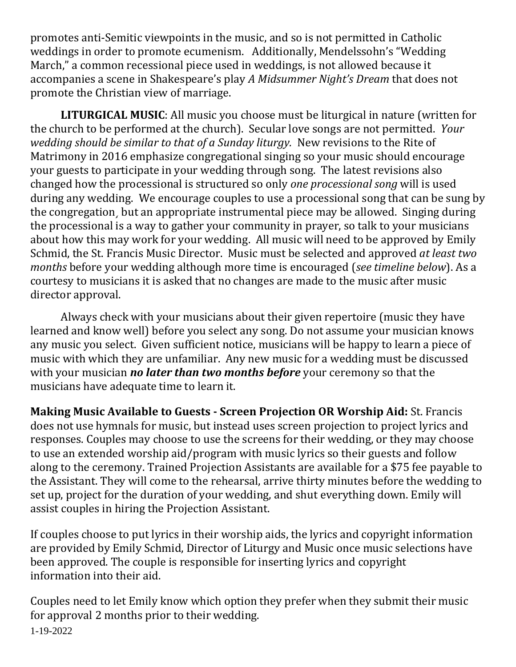promotes anti-Semitic viewpoints in the music, and so is not permitted in Catholic weddings in order to promote ecumenism. Additionally, Mendelssohn's "Wedding March," a common recessional piece used in weddings, is not allowed because it accompanies a scene in Shakespeare's play *A Midsummer Night's Dream* that does not promote the Christian view of marriage.

**LITURGICAL MUSIC**: All music you choose must be liturgical in nature (written for the church to be performed at the church). Secular love songs are not permitted. *Your wedding should be similar to that of a Sunday liturgy.* New revisions to the Rite of Matrimony in 2016 emphasize congregational singing so your music should encourage your guests to participate in your wedding through song. The latest revisions also changed how the processional is structured so only *one processional song* will is used during any wedding. We encourage couples to use a processional song that can be sung by the congregation¸ but an appropriate instrumental piece may be allowed. Singing during the processional is a way to gather your community in prayer, so talk to your musicians about how this may work for your wedding. All music will need to be approved by Emily Schmid, the St. Francis Music Director. Music must be selected and approved *at least two months* before your wedding although more time is encouraged (*see timeline below*). As a courtesy to musicians it is asked that no changes are made to the music after music director approval.

Always check with your musicians about their given repertoire (music they have learned and know well) before you select any song. Do not assume your musician knows any music you select. Given sufficient notice, musicians will be happy to learn a piece of music with which they are unfamiliar. Any new music for a wedding must be discussed with your musician *no later than two months before* your ceremony so that the musicians have adequate time to learn it.

**Making Music Available to Guests - Screen Projection OR Worship Aid:** St. Francis does not use hymnals for music, but instead uses screen projection to project lyrics and responses. Couples may choose to use the screens for their wedding, or they may choose to use an extended worship aid/program with music lyrics so their guests and follow along to the ceremony. Trained Projection Assistants are available for a \$75 fee payable to the Assistant. They will come to the rehearsal, arrive thirty minutes before the wedding to set up, project for the duration of your wedding, and shut everything down. Emily will assist couples in hiring the Projection Assistant.

If couples choose to put lyrics in their worship aids, the lyrics and copyright information are provided by Emily Schmid, Director of Liturgy and Music once music selections have been approved. The couple is responsible for inserting lyrics and copyright information into their aid.

1-19-2022 Couples need to let Emily know which option they prefer when they submit their music for approval 2 months prior to their wedding.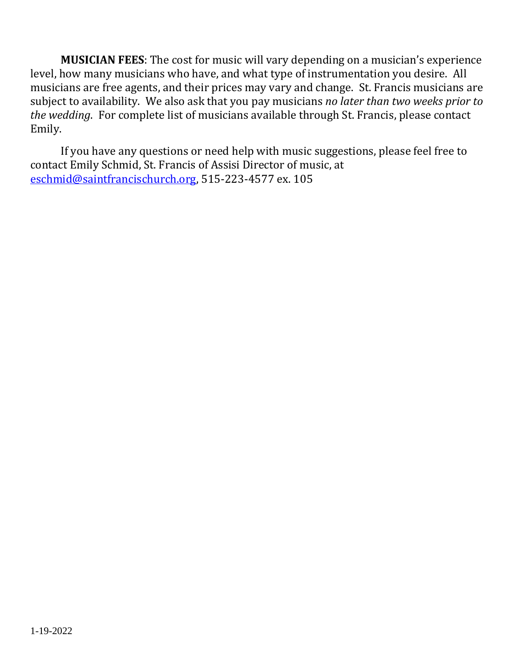**MUSICIAN FEES**: The cost for music will vary depending on a musician's experience level, how many musicians who have, and what type of instrumentation you desire. All musicians are free agents, and their prices may vary and change. St. Francis musicians are subject to availability. We also ask that you pay musicians *no later than two weeks prior to the wedding*. For complete list of musicians available through St. Francis, please contact Emily.

If you have any questions or need help with music suggestions, please feel free to contact Emily Schmid, St. Francis of Assisi Director of music, at [eschmid@saintfrancischurch.org,](mailto:eschmid@saintfrancischurch.org) 515-223-4577 ex. 105